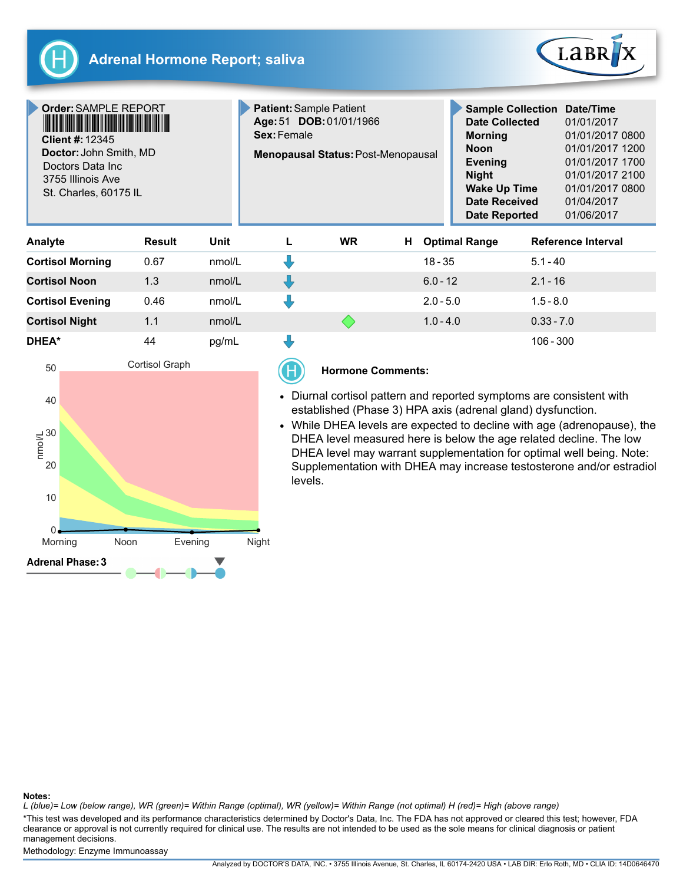



Order:SAMPLE REPORT \*SAMPLE REPORT\*

Client #:12345 Doctor: John Smith, MD Doctors Data Inc 3755 Illinois Ave St. Charles, 60175 IL

Patient: Sample Patient Age:51 DOB:01/01/1966 Sex:Female **Menopausal Status: Post-Menopausal** 

| <b>Sample Collection</b> | Date/Time       |
|--------------------------|-----------------|
| <b>Date Collected</b>    | 01/01/2017      |
| <b>Morning</b>           | 01/01/2017 0800 |
| <b>Noon</b>              | 01/01/2017 1200 |
| <b>Evening</b>           | 01/01/2017 1700 |
| <b>Night</b>             | 01/01/2017 2100 |
| <b>Wake Up Time</b>      | 01/01/2017 0800 |
| <b>Date Received</b>     | 01/04/2017      |
| <b>Date Reported</b>     | 01/06/2017      |

| Analyte                 | <b>Result</b> | Unit   | <b>WR</b> | н<br><b>Optimal Range</b> | Reference Interval |
|-------------------------|---------------|--------|-----------|---------------------------|--------------------|
| <b>Cortisol Morning</b> | 0.67          | nmol/L |           | $18 - 35$                 | $5.1 - 40$         |
| <b>Cortisol Noon</b>    | 1.3           | nmol/L |           | $6.0 - 12$                | $2.1 - 16$         |
| <b>Cortisol Evening</b> | 0.46          | nmol/L |           | $2.0 - 5.0$               | $1.5 - 8.0$        |
| <b>Cortisol Night</b>   | 1.1           | nmol/L |           | $1.0 - 4.0$               | $0.33 - 7.0$       |
| DHEA*                   | 44            | pg/mL  |           |                           | $106 - 300$        |



## Hormone Comments:

- Diurnal cortisol pattern and reported symptoms are consistent with established (Phase 3) HPA axis (adrenal gland) dysfunction.
- While DHEA levels are expected to decline with age (adrenopause), the DHEA level measured here is below the age related decline. The low DHEA level may warrant supplementation for optimal well being. Note: Supplementation with DHEA may increase testosterone and/or estradiol levels.

#### Notes:

L (blue)= Low (below range), WR (green)= Within Range (optimal), WR (yellow)= Within Range (not optimal) H (red)= High (above range)

\*This test was developed and its performance characteristics determined by Doctor's Data, Inc. The FDA has not approved or cleared this test; however, FDA clearance or approval is not currently required for clinical use. The results are not intended to be used as the sole means for clinical diagnosis or patient management decisions.

Methodology: Enzyme Immunoassay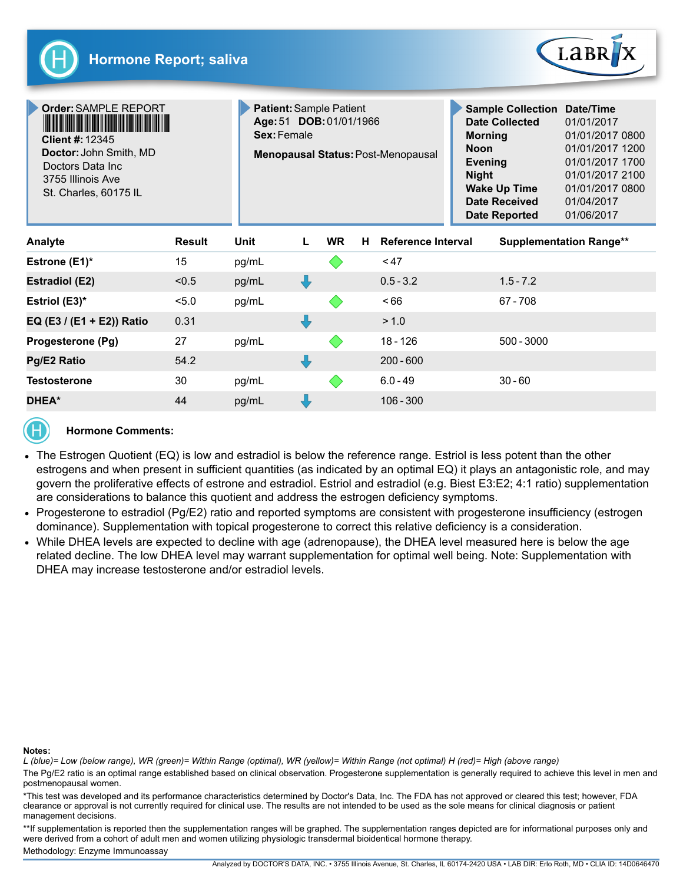

| <b>Order: SAMPLE REPORT</b><br><b>Client #: 12345</b><br>Doctor: John Smith, MD<br>Doctors Data Inc<br>3755 Illinois Ave<br>St. Charles, 60175 IL |               |       | <b>Patient: Sample Patient</b><br>Age: 51 DOB: 01/01/1966<br>Sex: Female<br><b>Menopausal Status: Post-Menopausal</b> |           |    |             |                                                      | <b>Sample Collection</b><br>Date/Time<br><b>Date Collected</b><br>01/01/2017<br><b>Morning</b><br>01/01/2017 0800<br>01/01/2017 1200<br><b>Noon</b><br>01/01/2017 1700<br>Evening<br>01/01/2017 2100<br><b>Night</b><br><b>Wake Up Time</b><br>01/01/2017 0800<br><b>Date Received</b><br>01/04/2017<br><b>Date Reported</b><br>01/06/2017 |  |  |
|---------------------------------------------------------------------------------------------------------------------------------------------------|---------------|-------|-----------------------------------------------------------------------------------------------------------------------|-----------|----|-------------|------------------------------------------------------|--------------------------------------------------------------------------------------------------------------------------------------------------------------------------------------------------------------------------------------------------------------------------------------------------------------------------------------------|--|--|
| <b>Analyte</b>                                                                                                                                    | <b>Result</b> | Unit  | L                                                                                                                     | <b>WR</b> | H. |             | Reference Interval<br><b>Supplementation Range**</b> |                                                                                                                                                                                                                                                                                                                                            |  |  |
| Estrone (E1)*                                                                                                                                     | 15            | pg/mL |                                                                                                                       |           |    | < 47        |                                                      |                                                                                                                                                                                                                                                                                                                                            |  |  |
| <b>Estradiol (E2)</b>                                                                                                                             | < 0.5         | pg/mL | ┺                                                                                                                     |           |    | $0.5 - 3.2$ |                                                      | $1.5 - 7.2$                                                                                                                                                                                                                                                                                                                                |  |  |
| Estriol (E3)*                                                                                                                                     | 5.0           | pg/mL |                                                                                                                       |           |    | ~166        |                                                      | $67 - 708$                                                                                                                                                                                                                                                                                                                                 |  |  |
| EQ (E3 / (E1 + E2)) Ratio                                                                                                                         | 0.31          |       |                                                                                                                       |           |    | > 1.0       |                                                      |                                                                                                                                                                                                                                                                                                                                            |  |  |
| Progesterone (Pg)                                                                                                                                 | 27            | pg/mL |                                                                                                                       |           |    | $18 - 126$  |                                                      | 500 - 3000                                                                                                                                                                                                                                                                                                                                 |  |  |
| Pg/E2 Ratio                                                                                                                                       | 54.2          |       |                                                                                                                       |           |    | $200 - 600$ |                                                      |                                                                                                                                                                                                                                                                                                                                            |  |  |
| <b>Testosterone</b>                                                                                                                               | 30            | pg/mL |                                                                                                                       |           |    | $6.0 - 49$  |                                                      | $30 - 60$                                                                                                                                                                                                                                                                                                                                  |  |  |
| <b>DHEA*</b>                                                                                                                                      | 44            | pg/mL |                                                                                                                       |           |    | $106 - 300$ |                                                      |                                                                                                                                                                                                                                                                                                                                            |  |  |



# Hormone Comments:

- The Estrogen Quotient (EQ) is low and estradiol is below the reference range. Estriol is less potent than the other estrogens and when present in sufficient quantities (as indicated by an optimal EQ) it plays an antagonistic role, and may govern the proliferative effects of estrone and estradiol. Estriol and estradiol (e.g. Biest E3:E2; 4:1 ratio) supplementation are considerations to balance this quotient and address the estrogen deficiency symptoms.
- Progesterone to estradiol (Pg/E2) ratio and reported symptoms are consistent with progesterone insufficiency (estrogen dominance). Supplementation with topical progesterone to correct this relative deficiency is a consideration.
- While DHEA levels are expected to decline with age (adrenopause), the DHEA level measured here is below the age related decline. The low DHEA level may warrant supplementation for optimal well being. Note: Supplementation with DHEA may increase testosterone and/or estradiol levels.

### Notes:

L (blue)= Low (below range), WR (green)= Within Range (optimal), WR (yellow)= Within Range (not optimal) H (red)= High (above range)

The Pg/E2 ratio is an optimal range established based on clinical observation. Progesterone supplementation is generally required to achieve this level in men and postmenopausal women.

\*This test was developed and its performance characteristics determined by Doctor's Data, Inc. The FDA has not approved or cleared this test; however, FDA clearance or approval is not currently required for clinical use. The results are not intended to be used as the sole means for clinical diagnosis or patient management decisions.

\*\*If supplementation is reported then the supplementation ranges will be graphed. The supplementation ranges depicted are for informational purposes only and were derived from a cohort of adult men and women utilizing physiologic transdermal bioidentical hormone therapy.

Methodology: Enzyme Immunoassay